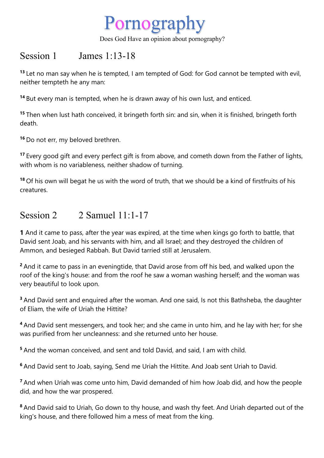

Does God Have an opinion about pornography?

## Session 1 James 1:13-18

**<sup>13</sup>** Let no man say when he is tempted, I am tempted of God: for God cannot be tempted with evil, neither tempteth he any man:

**<sup>14</sup>** But every man is tempted, when he is drawn away of his own lust, and enticed.

**<sup>15</sup>** Then when lust hath conceived, it bringeth forth sin: and sin, when it is finished, bringeth forth death.

**<sup>16</sup>** Do not err, my beloved brethren.

**<sup>17</sup>** Every good gift and every perfect gift is from above, and cometh down from the Father of lights, with whom is no variableness, neither shadow of turning.

**<sup>18</sup>** Of his own will begat he us with the word of truth, that we should be a kind of firstfruits of his creatures.

## Session  $2 \times 2$  Samuel  $11 \cdot 1 - 17$

**1** And it came to pass, after the year was expired, at the time when kings go forth to battle, that David sent Joab, and his servants with him, and all Israel; and they destroyed the children of Ammon, and besieged Rabbah. But David tarried still at Jerusalem.

**<sup>2</sup>** And it came to pass in an eveningtide, that David arose from off his bed, and walked upon the roof of the king's house: and from the roof he saw a woman washing herself; and the woman was very beautiful to look upon.

**<sup>3</sup>** And David sent and enquired after the woman. And one said, Is not this Bathsheba, the daughter of Eliam, the wife of Uriah the Hittite?

**<sup>4</sup>** And David sent messengers, and took her; and she came in unto him, and he lay with her; for she was purified from her uncleanness: and she returned unto her house.

**<sup>5</sup>** And the woman conceived, and sent and told David, and said, I am with child.

**<sup>6</sup>** And David sent to Joab, saying, Send me Uriah the Hittite. And Joab sent Uriah to David.

**<sup>7</sup>** And when Uriah was come unto him, David demanded of him how Joab did, and how the people did, and how the war prospered.

**<sup>8</sup>** And David said to Uriah, Go down to thy house, and wash thy feet. And Uriah departed out of the king's house, and there followed him a mess of meat from the king.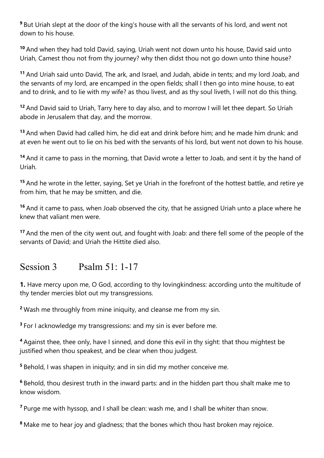**<sup>9</sup>** But Uriah slept at the door of the king's house with all the servants of his lord, and went not down to his house.

**<sup>10</sup>** And when they had told David, saying, Uriah went not down unto his house, David said unto Uriah, Camest thou not from thy journey? why then didst thou not go down unto thine house?

**<sup>11</sup>** And Uriah said unto David, The ark, and Israel, and Judah, abide in tents; and my lord Joab, and the servants of my lord, are encamped in the open fields; shall I then go into mine house, to eat and to drink, and to lie with my wife? as thou livest, and as thy soul liveth, I will not do this thing.

**<sup>12</sup>** And David said to Uriah, Tarry here to day also, and to morrow I will let thee depart. So Uriah abode in Jerusalem that day, and the morrow.

**<sup>13</sup>** And when David had called him, he did eat and drink before him; and he made him drunk: and at even he went out to lie on his bed with the servants of his lord, but went not down to his house.

**<sup>14</sup>** And it came to pass in the morning, that David wrote a letter to Joab, and sent it by the hand of Uriah.

**<sup>15</sup>** And he wrote in the letter, saying, Set ye Uriah in the forefront of the hottest battle, and retire ye from him, that he may be smitten, and die.

**<sup>16</sup>** And it came to pass, when Joab observed the city, that he assigned Uriah unto a place where he knew that valiant men were.

**<sup>17</sup>** And the men of the city went out, and fought with Joab: and there fell some of the people of the servants of David; and Uriah the Hittite died also.

## Session 3 Psalm 51: 1-17

**1.** Have mercy upon me, O God, according to thy lovingkindness: according unto the multitude of thy tender mercies blot out my transgressions.

**<sup>2</sup>** Wash me throughly from mine iniquity, and cleanse me from my sin.

**<sup>3</sup>** For I acknowledge my transgressions: and my sin is ever before me.

**<sup>4</sup>** Against thee, thee only, have I sinned, and done this evil in thy sight: that thou mightest be justified when thou speakest, and be clear when thou judgest.

**<sup>5</sup>** Behold, I was shapen in iniquity; and in sin did my mother conceive me.

**<sup>6</sup>** Behold, thou desirest truth in the inward parts: and in the hidden part thou shalt make me to know wisdom.

**<sup>7</sup>** Purge me with hyssop, and I shall be clean: wash me, and I shall be whiter than snow.

**<sup>8</sup>** Make me to hear joy and gladness; that the bones which thou hast broken may rejoice.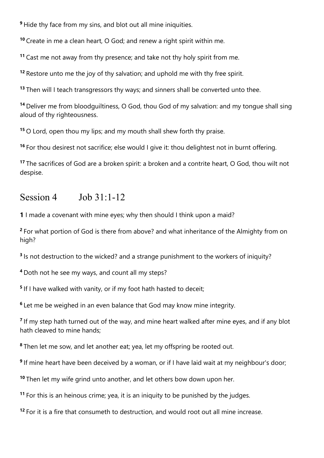Hide thy face from my sins, and blot out all mine iniquities.

Create in me a clean heart, O God; and renew a right spirit within me.

Cast me not away from thy presence; and take not thy holy spirit from me.

Restore unto me the joy of thy salvation; and uphold me with thy free spirit.

Then will I teach transgressors thy ways; and sinners shall be converted unto thee.

 Deliver me from bloodguiltiness, O God, thou God of my salvation: and my tongue shall sing aloud of thy righteousness.

O Lord, open thou my lips; and my mouth shall shew forth thy praise.

For thou desirest not sacrifice; else would I give it: thou delightest not in burnt offering.

 The sacrifices of God are a broken spirit: a broken and a contrite heart, O God, thou wilt not despise.

## Session 4 Job 31:1-12

I made a covenant with mine eyes; why then should I think upon a maid?

 For what portion of God is there from above? and what inheritance of the Almighty from on high?

Is not destruction to the wicked? and a strange punishment to the workers of iniquity?

Doth not he see my ways, and count all my steps?

If I have walked with vanity, or if my foot hath hasted to deceit;

Let me be weighed in an even balance that God may know mine integrity.

 If my step hath turned out of the way, and mine heart walked after mine eyes, and if any blot hath cleaved to mine hands;

Then let me sow, and let another eat; yea, let my offspring be rooted out.

If mine heart have been deceived by a woman, or if I have laid wait at my neighbour's door;

Then let my wife grind unto another, and let others bow down upon her.

For this is an heinous crime; yea, it is an iniquity to be punished by the judges.

For it is a fire that consumeth to destruction, and would root out all mine increase.